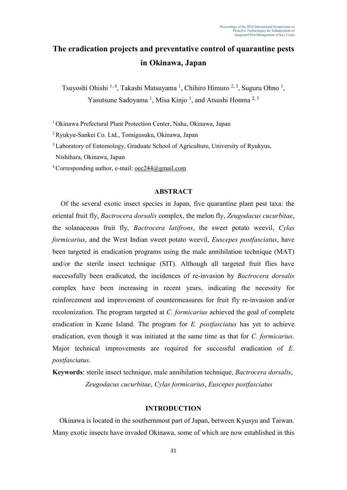# **The eradication projects and preventative control of quarantine pests in Okinawa, Japan**

Tsuyoshi Ohishi <sup>1, 4</sup>, Takashi Matsuyama <sup>1</sup>, Chihiro Himuro <sup>2, 3</sup>, Suguru Ohno <sup>1</sup>, Yasutsune Sadoyama<sup>1</sup>, Misa Kinjo<sup>1</sup>, and Atsushi Honma<sup>2,3</sup>

<sup>1</sup> Okinawa Prefectural Plant Protection Center, Naha, Okinawa, Japan

<sup>2</sup>Ryukyu-Sankei Co. Ltd., Tomigusuku, Okinawa, Japan

<sup>3</sup> Laboratory of Entomology, Graduate School of Agriculture, University of Ryukyus,

Nishihara, Okinawa, Japan

<sup>4</sup>Corresponding author, e-mail: [oec244@gmail.com](mailto:oec244@gmail.com) 

#### **ABSTRACT**

Of the several exotic insect species in Japan, five quarantine plant pest taxa: the oriental fruit fly, *Bactrocera dorsalis* complex, the melon fly, *Zeugodacus cucurbitae*, the solanaceous fruit fly, *Bactrocera latifrons*, the sweet potato weevil, *Cylas formicarius*, and the West Indian sweet potato weevil, *Euscepes postfasciatus*, have been targeted in eradication programs using the male annihilation technique (MAT) and/or the sterile insect technique (SIT). Although all targeted fruit flies have successfully been eradicated, the incidences of re-invasion by *Bactrocera dorsalis*  complex have been increasing in recent years, indicating the necessity for reinforcement and improvement of countermeasures for fruit fly re-invasion and/or recolonization. The program targeted at *C. formicarius* achieved the goal of complete eradication in Kume Island. The program for *E. postfasciatus* has yet to achieve eradication, even though it was initiated at the same time as that for *C. formicarius*. Major technical improvements are required for successful eradication of *E. postfasciatus*.

**Keywords**: sterile insect technique, male annihilation technique, *Bactrocera dorsalis*, *Zeugodacus cucurbitae*, *Cylas formicarius*, *Euscepes postfasciatus*

#### **INTRODUCTION**

Okinawa is located in the southernmost part of Japan, between Kyusyu and Taiwan. Many exotic insects have invaded Okinawa, some of which are now established in this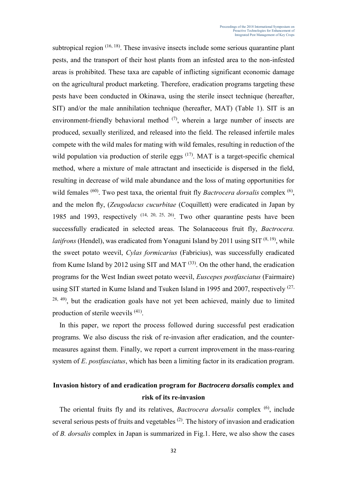subtropical region  $(16, 18)$ . These invasive insects include some serious quarantine plant pests, and the transport of their host plants from an infested area to the non-infested areas is prohibited. These taxa are capable of inflicting significant economic damage on the agricultural product marketing. Therefore, eradication programs targeting these pests have been conducted in Okinawa, using the sterile insect technique (hereafter, SIT) and/or the male annihilation technique (hereafter, MAT) (Table 1). SIT is an environment-friendly behavioral method  $(7)$ , wherein a large number of insects are produced, sexually sterilized, and released into the field. The released infertile males compete with the wild males for mating with wild females, resulting in reduction of the wild population via production of sterile eggs <sup>(17)</sup>. MAT is a target-specific chemical method, where a mixture of male attractant and insecticide is dispersed in the field, resulting in decrease of wild male abundance and the loss of mating opportunities for wild females <sup>(60)</sup>. Two pest taxa, the oriental fruit fly *Bactrocera dorsalis* complex <sup>(6)</sup>, and the melon fly, (*Zeugodacus cucurbitae* (Coquillett) were eradicated in Japan by 1985 and 1993, respectively  $(14, 20, 25, 26)$ . Two other quarantine pests have been successfully eradicated in selected areas. The Solanaceous fruit fly, *Bactrocera. latifrons* (Hendel), was eradicated from Yonaguni Island by 2011 using SIT<sup>(8, 19)</sup>, while the sweet potato weevil, *Cylas formicarius* (Fabricius), was successfully eradicated from Kume Island by 2012 using SIT and MAT<sup> $(33)$ </sup>. On the other hand, the eradication programs for the West Indian sweet potato weevil, *Euscepes postfasciatus* (Fairmaire) using SIT started in Kume Island and Tsuken Island in 1995 and 2007, respectively  $(27, 27)$  $28, 49$ , but the eradication goals have not yet been achieved, mainly due to limited production of sterile weevils <sup>(41)</sup>.

In this paper, we report the process followed during successful pest eradication programs. We also discuss the risk of re-invasion after eradication, and the countermeasures against them. Finally, we report a current improvement in the mass-rearing system of *E*. *postfasciatus*, which has been a limiting factor in its eradication program.

#### **Invasion history of and eradication program for** *Bactrocera dorsalis* **complex and risk of its re-invasion**

The oriental fruits fly and its relatives, *Bactrocera dorsalis* complex (6), include several serious pests of fruits and vegetables  $(2)$ . The history of invasion and eradication of *B. dorsalis* complex in Japan is summarized in Fig.1. Here, we also show the cases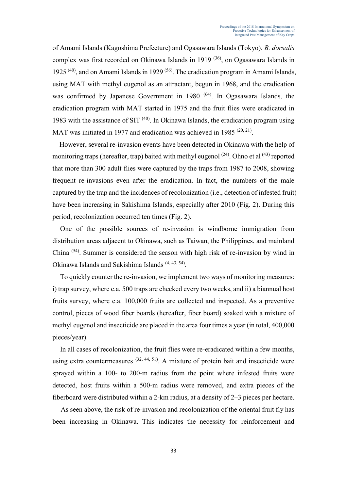of Amami Islands (Kagoshima Prefecture) and Ogasawara Islands (Tokyo). *B. dorsalis*  complex was first recorded on Okinawa Islands in 1919<sup>(36)</sup>, on Ogasawara Islands in 1925<sup> $(40)$ </sup>, and on Amami Islands in 1929<sup> $(56)$ </sup>. The eradication program in Amami Islands, using MAT with methyl eugenol as an attractant, begun in 1968, and the eradication was confirmed by Japanese Government in 1980<sup>(64)</sup>. In Ogasawara Islands, the eradication program with MAT started in 1975 and the fruit flies were eradicated in 1983 with the assistance of SIT  $(40)$ . In Okinawa Islands, the eradication program using MAT was initiated in 1977 and eradication was achieved in 1985  $(20, 21)$ .

However, several re-invasion events have been detected in Okinawa with the help of monitoring traps (hereafter, trap) baited with methyl eugenol  $(24)$ . Ohno et al  $(43)$  reported that more than 300 adult flies were captured by the traps from 1987 to 2008, showing frequent re-invasions even after the eradication. In fact, the numbers of the male captured by the trap and the incidences of recolonization (i.e., detection of infested fruit) have been increasing in Sakishima Islands, especially after 2010 (Fig. 2). During this period, recolonization occurred ten times (Fig. 2).

One of the possible sources of re-invasion is windborne immigration from distribution areas adjacent to Okinawa, such as Taiwan, the Philippines, and mainland China (54). Summer is considered the season with high risk of re-invasion by wind in Okinawa Islands and Sakishima Islands<sup>(4, 43, 54)</sup>.

To quickly counter the re-invasion, we implement two ways of monitoring measures: i) trap survey, where c.a. 500 traps are checked every two weeks, and ii) a biannual host fruits survey, where c.a. 100,000 fruits are collected and inspected. As a preventive control, pieces of wood fiber boards (hereafter, fiber board) soaked with a mixture of methyl eugenol and insecticide are placed in the area four times a year (in total, 400,000 pieces/year).

In all cases of recolonization, the fruit flies were re-eradicated within a few months, using extra countermeasures  $(32, 44, 51)$ . A mixture of protein bait and insecticide were sprayed within a 100- to 200-m radius from the point where infested fruits were detected, host fruits within a 500-m radius were removed, and extra pieces of the fiberboard were distributed within a 2-km radius, at a density of 2–3 pieces per hectare.

As seen above, the risk of re-invasion and recolonization of the oriental fruit fly has been increasing in Okinawa. This indicates the necessity for reinforcement and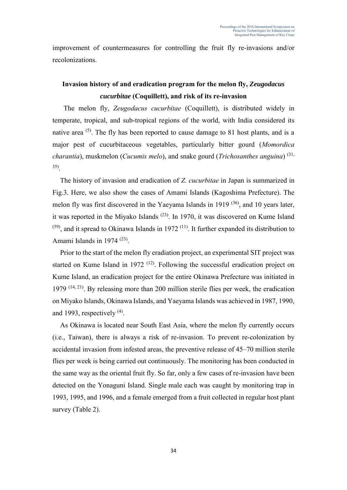improvement of countermeasures for controlling the fruit fly re-invasions and/or recolonizations.

### **Invasion history of and eradication program for the melon fly,** *Zeugodacus cucurbitae* **(Coquillett), and risk of its re-invasion**

 The melon fly, *Zeugodacus cucurbitae* (Coquillett), is distributed widely in temperate, tropical, and sub-tropical regions of the world, with India considered its native area <sup>(5)</sup>. The fly has been reported to cause damage to 81 host plants, and is a major pest of cucurbitaceous vegetables, particularly bitter gourd (*Momordica charantia*), muskmelon (*Cucumis melo*), and snake gourd (*Trichosanthes anguina*) (31, 35) .

The history of invasion and eradication of *Z. cucurbitae* in Japan is summarized in Fig.3. Here, we also show the cases of Amami Islands (Kagoshima Prefecture). The melon fly was first discovered in the Yaeyama Islands in 1919  $(36)$ , and 10 years later, it was reported in the Miyako Islands (23). In 1970, it was discovered on Kume Island  $(59)$ , and it spread to Okinawa Islands in 1972<sup>(11)</sup>. It further expanded its distribution to Amami Islands in 1974  $(23)$ .

Prior to the start of the melon fly eradiation project, an experimental SIT project was started on Kume Island in 1972<sup>(12)</sup>. Following the successful eradication project on Kume Island, an eradication project for the entire Okinawa Prefecture was initiated in 1979 (14, 21) . By releasing more than 200 million sterile flies per week, the eradication on Miyako Islands, Okinawa Islands, and Yaeyama Islands was achieved in 1987, 1990, and 1993, respectively  $(4)$ .

As Okinawa is located near South East Asia, where the melon fly currently occurs (i.e., Taiwan), there is always a risk of re-invasion. To prevent re-colonization by accidental invasion from infested areas, the preventive release of 45–70 million sterile flies per week is being carried out continuously. The monitoring has been conducted in the same way as the oriental fruit fly. So far, only a few cases of re-invasion have been detected on the Yonaguni Island. Single male each was caught by monitoring trap in 1993, 1995, and 1996, and a female emerged from a fruit collected in regular host plant survey (Table 2).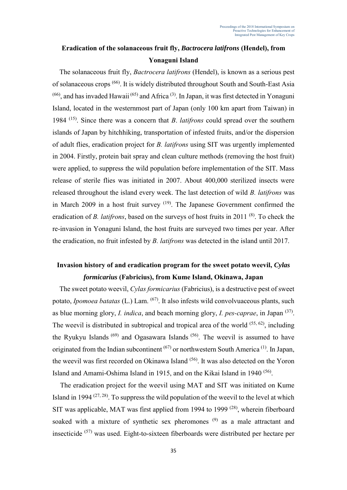### **Eradication of the solanaceous fruit fly,** *Bactrocera latifrons* **(Hendel), from Yonaguni Island**

The solanaceous fruit fly, *Bactrocera latifrons* (Hendel), is known as a serious pest of solanaceous crops (66). It is widely distributed throughout South and South-East Asia  $(66)$ , and has invaded Hawaii<sup>(65)</sup> and Africa<sup>(3)</sup>. In Japan, it was first detected in Yonaguni Island, located in the westernmost part of Japan (only 100 km apart from Taiwan) in 1984 (15). Since there was a concern that *B*. *latifrons* could spread over the southern islands of Japan by hitchhiking, transportation of infested fruits, and/or the dispersion of adult flies, eradication project for *B. latifrons* using SIT was urgently implemented in 2004. Firstly, protein bait spray and clean culture methods (removing the host fruit) were applied, to suppress the wild population before implementation of the SIT. Mass release of sterile flies was initiated in 2007. About 400,000 sterilized insects were released throughout the island every week. The last detection of wild *B. latifrons* was in March 2009 in a host fruit survey  $(19)$ . The Japanese Government confirmed the eradication of *B. latifrons*, based on the surveys of host fruits in 2011<sup>(8)</sup>. To check the re-invasion in Yonaguni Island, the host fruits are surveyed two times per year. After the eradication, no fruit infested by *B. latifrons* was detected in the island until 2017.

### **Invasion history of and eradication program for the sweet potato weevil,** *Cylas formicarius* **(Fabricius), from Kume Island, Okinawa, Japan**

 The sweet potato weevil, *Cylas formicarius* (Fabricius), is a destructive pest of sweet potato, *Ipomoea batatas* (L.) Lam. (67). It also infests wild convolvuaceous plants, such as blue morning glory, *I. indica*, and beach morning glory, *I. pes-caprae*, in Japan (37) . The weevil is distributed in subtropical and tropical area of the world  $(55, 62)$ , including the Ryukyu Islands<sup>(69)</sup> and Ogasawara Islands<sup>(56)</sup>. The weevil is assumed to have originated from the Indian subcontinent  $(67)$  or northwestern South America  $(1)$ . In Japan, the weevil was first recorded on Okinawa Island<sup>(56)</sup>. It was also detected on the Yoron Island and Amami-Oshima Island in 1915, and on the Kikai Island in 1940<sup>(56)</sup>.

The eradication project for the weevil using MAT and SIT was initiated on Kume Island in 1994  $(27, 28)$ . To suppress the wild population of the weevil to the level at which SIT was applicable, MAT was first applied from 1994 to 1999<sup>(28)</sup>, wherein fiberboard soaked with a mixture of synthetic sex pheromones <sup>(9)</sup> as a male attractant and insecticide (57) was used. Eight-to-sixteen fiberboards were distributed per hectare per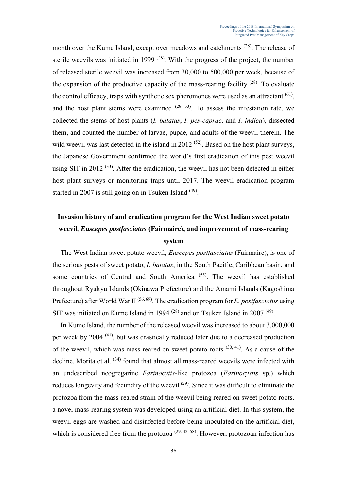month over the Kume Island, except over meadows and catchments <sup>(28)</sup>. The release of sterile weevils was initiated in 1999<sup> $(28)$ </sup>. With the progress of the project, the number of released sterile weevil was increased from 30,000 to 500,000 per week, because of the expansion of the productive capacity of the mass-rearing facility  $(28)$ . To evaluate the control efficacy, traps with synthetic sex pheromones were used as an attractant  $(61)$ , and the host plant stems were examined  $(28, 33)$ . To assess the infestation rate, we collected the stems of host plants (*I. batatas*, *I. pes-caprae*, and *I. indica*), dissected them, and counted the number of larvae, pupae, and adults of the weevil therein. The wild weevil was last detected in the island in 2012  $(52)$ . Based on the host plant surveys, the Japanese Government confirmed the world's first eradication of this pest weevil using SIT in 2012  $(33)$ . After the eradication, the weevil has not been detected in either host plant surveys or monitoring traps until 2017. The weevil eradication program started in 2007 is still going on in Tsuken Island <sup>(49)</sup>.

## **Invasion history of and eradication program for the West Indian sweet potato weevil,** *Euscepes postfasciatus* **(Fairmaire), and improvement of mass-rearing system**

The West Indian sweet potato weevil, *Euscepes postfasciatus* (Fairmaire), is one of the serious pests of sweet potato, *I. batatas*, in the South Pacific, Caribbean basin, and some countries of Central and South America<sup>(55)</sup>. The weevil has established throughout Ryukyu Islands (Okinawa Prefecture) and the Amami Islands (Kagoshima Prefecture) after World War II<sup>(56, 69)</sup>. The eradication program for *E. postfasciatus* using SIT was initiated on Kume Island in 1994<sup> $(28)$ </sup> and on Tsuken Island in 2007<sup> $(49)$ </sup>.

In Kume Island, the number of the released weevil was increased to about 3,000,000 per week by 2004 (41), but was drastically reduced later due to a decreased production of the weevil, which was mass-reared on sweet potato roots  $(30, 41)$ . As a cause of the decline, Morita et al. <sup>(34)</sup> found that almost all mass-reared weevils were infected with an undescribed neogregarine *Farinocytis*-like protozoa (*Farinocystis* sp.) which reduces longevity and fecundity of the weevil  $(29)$ . Since it was difficult to eliminate the protozoa from the mass-reared strain of the weevil being reared on sweet potato roots, a novel mass-rearing system was developed using an artificial diet. In this system, the weevil eggs are washed and disinfected before being inoculated on the artificial diet, which is considered free from the protozoa  $(29, 42, 58)$ . However, protozoan infection has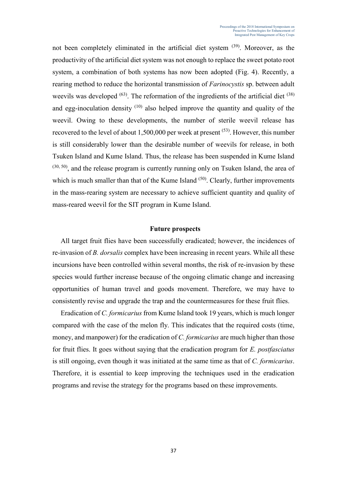not been completely eliminated in the artificial diet system  $(39)$ . Moreover, as the productivity of the artificial diet system was not enough to replace the sweet potato root system, a combination of both systems has now been adopted (Fig. 4). Recently, a rearing method to reduce the horizontal transmission of *Farinocystis* sp. between adult weevils was developed  $(63)$ . The reformation of the ingredients of the artificial diet  $(38)$ and egg-inoculation density (10) also helped improve the quantity and quality of the weevil. Owing to these developments, the number of sterile weevil release has recovered to the level of about 1,500,000 per week at present <sup>(53)</sup>. However, this number is still considerably lower than the desirable number of weevils for release, in both Tsuken Island and Kume Island. Thus, the release has been suspended in Kume Island  $(30, 50)$ , and the release program is currently running only on Tsuken Island, the area of which is much smaller than that of the Kume Island  $(50)$ . Clearly, further improvements in the mass-rearing system are necessary to achieve sufficient quantity and quality of mass-reared weevil for the SIT program in Kume Island.

#### **Future prospects**

All target fruit flies have been successfully eradicated; however, the incidences of re-invasion of *B. dorsalis* complex have been increasing in recent years. While all these incursions have been controlled within several months, the risk of re-invasion by these species would further increase because of the ongoing climatic change and increasing opportunities of human travel and goods movement. Therefore, we may have to consistently revise and upgrade the trap and the countermeasures for these fruit flies.

Eradication of *C. formicarius* from Kume Island took 19 years, which is much longer compared with the case of the melon fly. This indicates that the required costs (time, money, and manpower) for the eradication of *C. formicarius* are much higher than those for fruit flies. It goes without saying that the eradication program for *E. postfasciatus* is still ongoing, even though it was initiated at the same time as that of *C. formicarius*. Therefore, it is essential to keep improving the techniques used in the eradication programs and revise the strategy for the programs based on these improvements.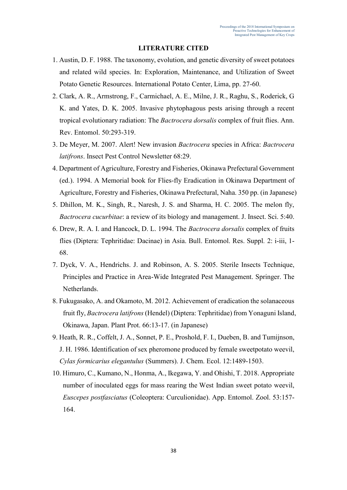#### **LITERATURE CITED**

- 1. Austin, D. F. 1988. The taxonomy, evolution, and genetic diversity of sweet potatoes and related wild species. In: Exploration, Maintenance, and Utilization of Sweet Potato Genetic Resources. International Potato Center, Lima, pp. 27-60.
- 2. Clark, A. R., Armstrong, F., Carmichael, A. E., Milne, J. R., Raghu, S., Roderick, G K. and Yates, D. K. 2005. Invasive phytophagous pests arising through a recent tropical evolutionary radiation: The *Bactrocera dorsalis* complex of fruit flies. Ann. Rev. Entomol. 50:293-319.
- 3. De Meyer, M. 2007. Alert! New invasion *Bactrocera* species in Africa: *Bactrocera latifrons*. Insect Pest Control Newsletter 68:29.
- 4. Department of Agriculture, Forestry and Fisheries, Okinawa Prefectural Government (ed.). 1994. A Memorial book for Flies-fly Eradication in Okinawa Department of Agriculture, Forestry and Fisheries, Okinawa Prefectural, Naha. 350 pp. (in Japanese)
- 5. Dhillon, M. K., Singh, R., Naresh, J. S. and Sharma, H. C. 2005. The melon fly, *Bactrocera cucurbitae*: a review of its biology and management. J. Insect. Sci. 5:40.
- 6. Drew, R. A. I. and Hancock, D. L. 1994. The *Bactrocera dorsalis* complex of fruits flies (Diptera: Tephritidae: Dacinae) in Asia. Bull. Entomol. Res. Suppl*.* 2: i-iii, 1- 68.
- 7. Dyck, V. A., Hendrichs. J. and Robinson, A. S. 2005. Sterile Insects Technique, Principles and Practice in Area-Wide Integrated Pest Management. Springer. The Netherlands.
- 8. Fukugasako, A. and Okamoto, M. 2012. Achievement of eradication the solanaceous fruit fly, *Bactrocera latifrons* (Hendel) (Diptera: Tephritidae) from Yonaguni Island, Okinawa, Japan. Plant Prot. 66:13-17. (in Japanese)
- 9. Heath, R. R., Coffelt, J. A., Sonnet, P. E., Proshold, F. I., Dueben, B. and Tumijnson, J. H. 1986. Identification of sex pheromone produced by female sweetpotato weevil, *Cylas formicarius elegantulus* (Summers). J. Chem. Ecol. 12:1489-1503.
- 10. Himuro, C., Kumano, N., Honma, A., Ikegawa, Y. and Ohishi, T. 2018. Appropriate number of inoculated eggs for mass rearing the West Indian sweet potato weevil, *Euscepes postfasciatus* (Coleoptera: Curculionidae). App. Entomol. Zool. 53:157- 164.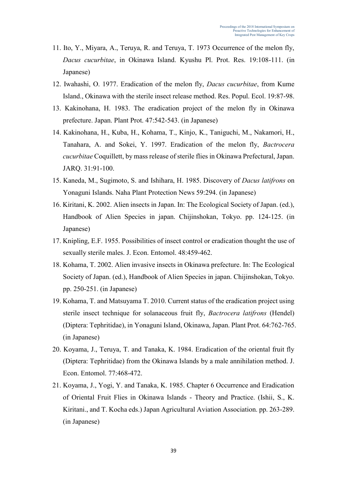- 11. Ito, Y., Miyara, A., Teruya, R. and Teruya, T. 1973 Occurrence of the melon fly, *Dacus cucurbitae*, in Okinawa Island. Kyushu Pl. Prot. Res. 19:108-111. (in Japanese)
- 12. Iwahashi, O. 1977. Eradication of the melon fly, *Dacus cucurbitae*, from Kume Island., Okinawa with the sterile insect release method. Res. Popul. Ecol. 19:87-98.
- 13. Kakinohana, H. 1983. The eradication project of the melon fly in Okinawa prefecture. Japan. Plant Prot. 47:542-543. (in Japanese)
- 14. Kakinohana, H., Kuba, H., Kohama, T., Kinjo, K., Taniguchi, M., Nakamori, H., Tanahara, A. and Sokei, Y. 1997. Eradication of the melon fly, *Bactrocera cucurbitae* Coquillett, by mass release of sterile flies in Okinawa Prefectural, Japan. JARQ. 31:91-100.
- 15. Kaneda, M., Sugimoto, S. and Ishihara, H. 1985. Discovery of *Dacus latifrons* on Yonaguni Islands. Naha Plant Protection News 59:294. (in Japanese)
- 16. Kiritani, K. 2002. Alien insects in Japan. In: The Ecological Society of Japan. (ed.), Handbook of Alien Species in japan. Chijinshokan, Tokyo. pp. 124-125. (in Japanese)
- 17. Knipling, E.F. 1955. Possibilities of insect control or eradication thought the use of sexually sterile males. J. Econ. Entomol. 48:459-462.
- 18. Kohama, T. 2002. Alien invasive insects in Okinawa prefecture. In: The Ecological Society of Japan. (ed.), Handbook of Alien Species in japan. Chijinshokan, Tokyo. pp. 250-251. (in Japanese)
- 19. Kohama, T. and Matsuyama T. 2010. Current status of the eradication project using sterile insect technique for solanaceous fruit fly, *Bactrocera latifrons* (Hendel) (Diptera: Tephritidae), in Yonaguni Island, Okinawa, Japan. Plant Prot. 64:762-765. (in Japanese)
- 20. Koyama, J., Teruya, T. and Tanaka, K. 1984. Eradication of the oriental fruit fly (Diptera: Tephritidae) from the Okinawa Islands by a male annihilation method. J. Econ. Entomol. 77:468-472.
- 21. Koyama, J., Yogi, Y. and Tanaka, K. 1985. Chapter 6 Occurrence and Eradication of Oriental Fruit Flies in Okinawa Islands - Theory and Practice. (Ishii, S., K. Kiritani., and T. Kocha eds.) Japan Agricultural Aviation Association. pp. 263-289. (in Japanese)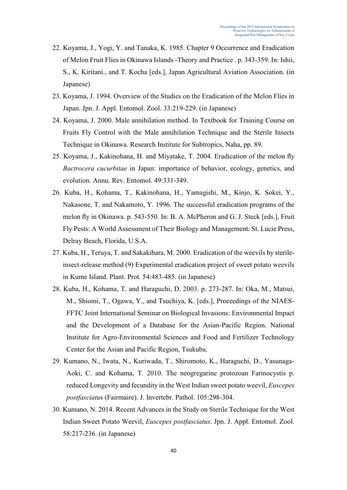- 22. Koyama, J., Yogi, Y. and Tanaka, K. 1985. Chapter 9 Occurrence and Eradication of Melon Fruit Flies in Okinawa Islands -Theory and Practice . p. 343-359. In: Ishii, S., K. Kiritani., and T. Kocha [eds.], Japan Agricultural Aviation Association. (in Japanese)
- 23. Koyama, J. 1994. Overview of the Studies on the Eradication of the Melon Flies in Japan. Jpn. J. Appl. Entomol. Zool. 33:219-229. (in Japanese)
- 24. Koyama, J. 2000. Male annihilation method. In Textbook for Training Course on Fruits Fly Control with the Male annihilation Technique and the Sterile Insects Technique in Okinawa. Research Institute for Subtropics, Naha, pp. 89.
- 25. Koyama, J., Kakinohana, H. and Miyatake, T. 2004. Eradication of the melon fly *Bactrocera cucurbitae* in Japan: importance of behavior, ecology, genetics, and evolution. Annu. Rev. Entomol. 49:331-349.
- 26. Kuba, H., Kohama, T., Kakinohana, H., Yamagishi, M., Kinjo, K. Sokei, Y., Nakasone, T. and Nakamoto, Y. 1996. The successful eradication programs of the melon fly in Okinawa. p. 543-550. In: B. A. McPheron and G. J. Steck [eds.], Fruit Fly Pests: A World Assessment of Their Biology and Management. St. Lucie Press, Delray Beach, Florida, U.S.A.
- 27. Kuba, H., Teruya, T. and Sakakibara, M. 2000. Eradication of the weevils by sterileinsect-release method (9) Experimental eradication project of sweet potato weevils in Kume Island. Plant. Prot. 54:483-485. (in Japanese)
- 28. Kuba, H., Kohama, T. and Haraguchi, D. 2003. p. 273-287. In: Oka, M., Matsui, M., Shiomi, T., Ogawa, Y., and Tsuchiya, K. [eds.], Proceedings of the NIAES-FFTC Joint International Seminar on Biological Invasions: Environmental Impact and the Development of a Database for the Asian-Pacific Region. National Institute for Agro-Environmental Sciences and Food and Fertilizer Technology Center for the Asian and Pacific Region, Tsukuba.
- 29. Kumano, N., Iwata, N., Kuriwada, T., Shiromoto, K., Haraguchi, D., Yasunaga-Aoki, C. and Kohama, T. 2010. The neogregarine protozoan Farinocystis p. reduced Longevity and fecundity in the West Indian sweet potato weevil, *Euscepes postfasciatu*s (Fairmaire). J. Invertebr. Pathol. 105:298-304.
- 30. Kumano, N. 2014. Recent Advances in the Study on Sterile Technique for the West Indian Sweet Potato Weevil, *Euscepes postfasciatus*. Jpn. J. Appl. Entomol. Zool. 58:217-236. (in Japanese)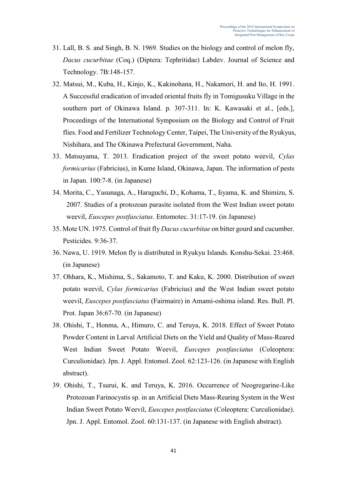- 31. Lall, B. S. and Singh, B. N. 1969. Studies on the biology and control of melon fly, *Dacus cucurbitae* (Coq.) (Diptera: Tephritidae) Labdev. Journal of Science and Technology. 7B:148-157.
- 32. Matsui, M., Kuba, H., Kinjo, K., Kakinohana, H., Nakamori, H. and Ito, H. 1991. A Successful eradication of invaded oriental fruits fly in Tomigusuku Village in the southern part of Okinawa Island. p. 307-311. In: K. Kawasaki et al., [eds.], Proceedings of the International Symposium on the Biology and Control of Fruit flies. Food and Fertilizer Technology Center, Taipei, The University of the Ryukyus, Nishihara, and The Okinawa Prefectural Government, Naha.
- 33. Matsuyama, T. 2013. Eradication project of the sweet potato weevil, *Cylas formicarius* (Fabricius), in Kume Island, Okinawa, Japan. The information of pests in Japan. 100:7-8. (in Japanese)
- 34. Morita, C., Yasunaga, A., Haraguchi, D., Kohama, T., Iiyama, K. and Shimizu, S. 2007. Studies of a protozoan parasite isolated from the West Indian sweet potato weevil, *Euscepes postfasciatus*. Entomotec. 31:17-19. (in Japanese)
- 35. Mote UN. 1975. Control of fruit fly *Dacus cucurbitae* on bitter gourd and cucumber. Pesticides. 9:36-37.
- 36. Nawa, U. 1919. Melon fly is distributed in Ryukyu Islands. Konshu-Sekai. 23:468. (in Japanese)
- 37. Ohhara, K., Mishima, S., Sakamoto, T. and Kaku, K. 2000. Distribution of sweet potato weevil, *Cylas formicarius* (Fabricius) and the West Indian sweet potato weevil, *Euscepes postfasciatus* (Fairmaire) in Amami-oshima island. Res. Bull. Pl. Prot. Japan 36:67-70. (in Japanese)
- 38. Ohishi, T., Honma, A., Himuro, C. and Teruya, K. 2018. Effect of Sweet Potato Powder Content in Larval Artificial Diets on the Yield and Quality of Mass-Reared West Indian Sweet Potato Weevil, *Euscepes postfasciatus* (Coleoptera: Curculionidae). Jpn. J. Appl. Entomol. Zool. 62:123-126. (in Japanese with English abstract).
- 39. Ohishi, T., Tsurui, K. and Teruya, K. 2016. Occurrence of Neogregarine-Like Protozoan Farinocystis sp. in an Artificial Diets Mass-Rearing System in the West Indian Sweet Potato Weevil, *Euscepes postfasciatus* (Coleoptera: Curculionidae). Jpn. J. Appl. Entomol. Zool. 60:131-137. (in Japanese with English abstract).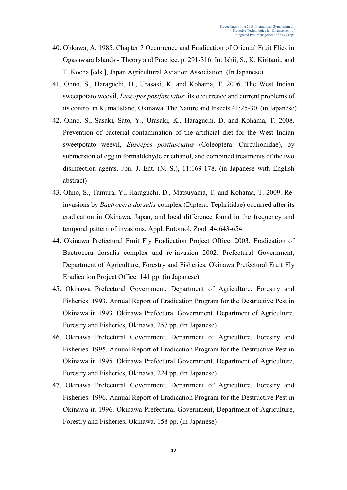- 40. Ohkawa, A. 1985. Chapter 7 Occurrence and Eradication of Oriental Fruit Flies in Ogasawara Islands - Theory and Practice. p. 291-316. In: Ishii, S., K. Kiritani., and T. Kocha [eds.], Japan Agricultural Aviation Association. (In Japanese)
- 41. Ohno, S., Haraguchi, D., Urasaki, K. and Kohama, T. 2006. The West Indian sweetpotato weevil, *Euscepes postfasciatus*: its occurrence and current problems of its control in Kuma Island, Okinawa. The Nature and Insects 41:25-30. (in Japanese)
- 42. Ohno, S., Sasaki, Sato, Y., Urasaki, K., Haraguchi, D. and Kohama, T. 2008. Prevention of bacterial contamination of the artificial diet for the West Indian sweetpotato weevil, *Euscepes postfasciatus* (Coleoptera: Curculionidae), by submersion of egg in formaldehyde or ethanol, and combined treatments of the two disinfection agents. Jpn. J. Ent. (N. S.), 11:169-178. (in Japanese with English abstract)
- 43. Ohno, S., Tamura, Y., Haraguchi, D., Matsuyama, T. and Kohama, T. 2009. Reinvasions by *Bactrocera dorsalis* complex (Diptera: Tephritidae) occurred after its eradication in Okinawa, Japan, and local difference found in the frequency and temporal pattern of invasions. Appl. Entomol. Zool*.* 44:643-654.
- 44. Okinawa Prefectural Fruit Fly Eradication Project Office. 2003. Eradication of Bactrocera dorsalis complex and re-invasion 2002. Prefectural Government, Department of Agriculture, Forestry and Fisheries, Okinawa Prefectural Fruit Fly Eradication Project Office. 141 pp. (in Japanese)
- 45. Okinawa Prefectural Government, Department of Agriculture, Forestry and Fisheries. 1993. Annual Report of Eradication Program for the Destructive Pest in Okinawa in 1993. Okinawa Prefectural Government, Department of Agriculture, Forestry and Fisheries, Okinawa. 257 pp. (in Japanese)
- 46. Okinawa Prefectural Government, Department of Agriculture, Forestry and Fisheries. 1995. Annual Report of Eradication Program for the Destructive Pest in Okinawa in 1995. Okinawa Prefectural Government, Department of Agriculture, Forestry and Fisheries, Okinawa. 224 pp. (in Japanese)
- 47. Okinawa Prefectural Government, Department of Agriculture, Forestry and Fisheries. 1996. Annual Report of Eradication Program for the Destructive Pest in Okinawa in 1996. Okinawa Prefectural Government, Department of Agriculture, Forestry and Fisheries, Okinawa. 158 pp. (in Japanese)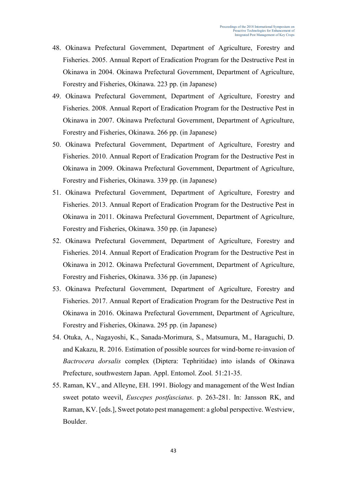- 48. Okinawa Prefectural Government, Department of Agriculture, Forestry and Fisheries. 2005. Annual Report of Eradication Program for the Destructive Pest in Okinawa in 2004. Okinawa Prefectural Government, Department of Agriculture, Forestry and Fisheries, Okinawa. 223 pp. (in Japanese)
- 49. Okinawa Prefectural Government, Department of Agriculture, Forestry and Fisheries. 2008. Annual Report of Eradication Program for the Destructive Pest in Okinawa in 2007. Okinawa Prefectural Government, Department of Agriculture, Forestry and Fisheries, Okinawa. 266 pp. (in Japanese)
- 50. Okinawa Prefectural Government, Department of Agriculture, Forestry and Fisheries. 2010. Annual Report of Eradication Program for the Destructive Pest in Okinawa in 2009. Okinawa Prefectural Government, Department of Agriculture, Forestry and Fisheries, Okinawa. 339 pp. (in Japanese)
- 51. Okinawa Prefectural Government, Department of Agriculture, Forestry and Fisheries. 2013. Annual Report of Eradication Program for the Destructive Pest in Okinawa in 2011. Okinawa Prefectural Government, Department of Agriculture, Forestry and Fisheries, Okinawa. 350 pp. (in Japanese)
- 52. Okinawa Prefectural Government, Department of Agriculture, Forestry and Fisheries. 2014. Annual Report of Eradication Program for the Destructive Pest in Okinawa in 2012. Okinawa Prefectural Government, Department of Agriculture, Forestry and Fisheries, Okinawa. 336 pp. (in Japanese)
- 53. Okinawa Prefectural Government, Department of Agriculture, Forestry and Fisheries. 2017. Annual Report of Eradication Program for the Destructive Pest in Okinawa in 2016. Okinawa Prefectural Government, Department of Agriculture, Forestry and Fisheries, Okinawa. 295 pp. (in Japanese)
- 54. Otuka, A., Nagayoshi, K., Sanada-Morimura, S., Matsumura, M., Haraguchi, D. and Kakazu, R. 2016. Estimation of possible sources for wind-borne re-invasion of *Bactrocera dorsalis* complex (Diptera: Tephritidae) into islands of Okinawa Prefecture, southwestern Japan. Appl. Entomol. Zool*.* 51:21-35.
- 55. Raman, KV., and Alleyne, EH. 1991. Biology and management of the West Indian sweet potato weevil, *Euscepes postfasciatus*. p. 263-281. In: Jansson RK, and Raman, KV. [eds.], Sweet potato pest management: a global perspective. Westview, Boulder.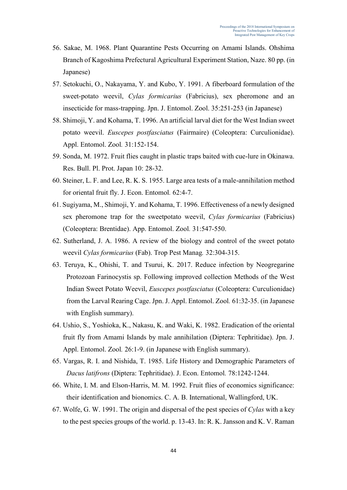- 56. Sakae, M. 1968. Plant Quarantine Pests Occurring on Amami Islands. Ohshima Branch of Kagoshima Prefectural Agricultural Experiment Station, Naze. 80 pp. (in Japanese)
- 57. Setokuchi, O., Nakayama, Y. and Kubo, Y. 1991. A fiberboard formulation of the sweet-potato weevil, *Cylas formicarius* (Fabricius), sex pheromone and an insecticide for mass-trapping. Jpn. J. Entomol. Zool. 35:251-253 (in Japanese)
- 58. Shimoji, Y. and Kohama, T. 1996. An artificial larval diet for the West Indian sweet potato weevil. *Euscepes postfasciatus* (Fairmaire) (Coleoptera: Curculionidae). Appl. Entomol. Zool*.* 31:152-154.
- 59. Sonda, M. 1972. Fruit flies caught in plastic traps baited with cue-lure in Okinawa. Res. Bull. Pl. Prot. Japan 10: 28-32.
- 60. Steiner, L. F. and Lee, R. K. S. 1955. Large area tests of a male-annihilation method for oriental fruit fly. J. Econ. Entomol*.* 62:4-7.
- 61. Sugiyama, M., Shimoji, Y. and Kohama, T. 1996. Effectiveness of a newly designed sex pheromone trap for the sweetpotato weevil, *Cylas formicarius* (Fabricius) (Coleoptera: Brentidae). App. Entomol. Zool*.* 31:547-550.
- 62. Sutherland, J. A. 1986. A review of the biology and control of the sweet potato weevil *Cylas formicarius* (Fab). Trop Pest Manag*.* 32:304-315.
- 63. Teruya, K., Ohishi, T. and Tsurui, K. 2017. Reduce infection by Neogregarine Protozoan Farinocystis sp. Following improved collection Methods of the West Indian Sweet Potato Weevil, *Euscepes postfasciatus* (Coleoptera: Curculionidae) from the Larval Rearing Cage. Jpn. J. Appl. Entomol. Zool*.* 61:32-35. (in Japanese with English summary).
- 64. Ushio, S., Yoshioka, K., Nakasu, K. and Waki, K. 1982. Eradication of the oriental fruit fly from Amami Islands by male annihilation (Diptera: Tephritidae). Jpn. J. Appl. Entomol. Zool*.* 26:1-9. (in Japanese with English summary).
- 65. Vargas, R. I. and Nishida, T. 1985. Life History and Demographic Parameters of *Dacus latifrons* (Diptera: Tephritidae). J. Econ. Entomol*.* 78:1242-1244.
- 66. White, I. M. and Elson-Harris, M. M. 1992. Fruit flies of economics significance: their identification and bionomics. C. A. B. International, Wallingford, UK.
- 67. Wolfe, G. W. 1991. The origin and dispersal of the pest species of *Cylas* with a key to the pest species groups of the world. p. 13-43. In: R. K. Jansson and K. V. Raman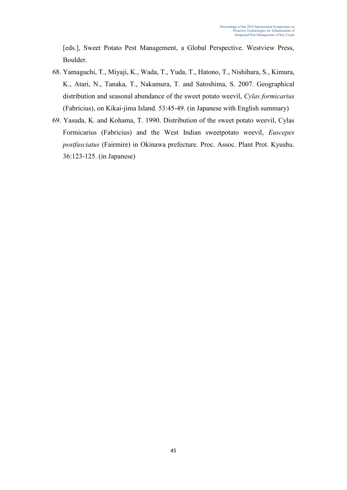[eds.], Sweet Potato Pest Management, a Global Perspective. Westview Press, Boulder.

- 68. Yamaguchi, T., Miyaji, K., Wada, T., Yuda, T., Hatono, T., Nishihara, S., Kimura, K., Atari, N., Tanaka, T., Nakamura, T. and Satoshima, S. 2007. Geographical distribution and seasonal abundance of the sweet potato weevil, *Cylas formicarius*  (Fabricius), on Kikai-jima Island. 53:45-49. (in Japanese with English summary)
- 69. Yasuda, K. and Kohama, T. 1990. Distribution of the sweet potato weevil, Cylas Formicarius (Fabricius) and the West Indian sweetpotato weevil, *Euscepes postfasciatus* (Fairmire) in Okinawa prefecture. Proc. Assoc. Plant Prot. Kyushu. 36:123-125. (in Japanese)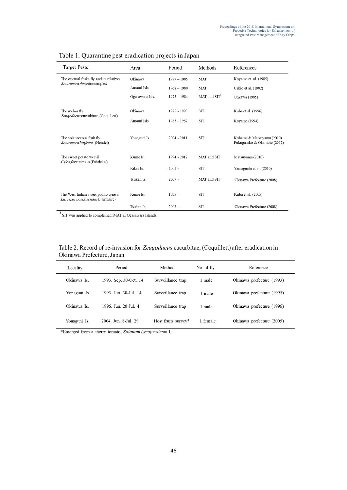| <b>Target Pests</b>                                        | Area            | Period        | Methods                  | References                                               |  |  |
|------------------------------------------------------------|-----------------|---------------|--------------------------|----------------------------------------------------------|--|--|
| The oriental fruits fly and its relatives                  | Okinawa         | $1977 - 1985$ | MAT                      | Koyama et al. (1985)                                     |  |  |
| Bactrocera dorsalis complex                                | Amami Isls.     | $1968 - 1980$ | MAT                      | Ushio et al. (1982)                                      |  |  |
|                                                            | Ogasawara Isls. | $1975 - 1984$ | MAT and SIT <sup>a</sup> | Ohkawa (1985)                                            |  |  |
|                                                            |                 |               |                          |                                                          |  |  |
| The melon fly<br>Zeugodacus cucurbitae. (Coquillett)       | Okinawa         | 1975 - 1993   | <b>SIT</b>               | Kuba et al. (1996)                                       |  |  |
|                                                            | Amami Isls.     | 1985 - 1987   | <b>SIT</b>               | Koyama (1994)                                            |  |  |
|                                                            |                 |               |                          |                                                          |  |  |
| The solanaceous fruit fly<br>Bactrocera latifrons (Hendel) | Yonaguni Is.    | $2004 - 2011$ | <b>SIT</b>               | Kohama & Matsuyama (2010)<br>Fukugasako & Okamoto (2012) |  |  |
|                                                            |                 |               |                          |                                                          |  |  |
| The sweet potato weevil                                    | Kume Is.        | 1994 - 2012   | MAT and SIT              | Matsuyama (2010)                                         |  |  |
| Cylas formicarius (Fabricius)                              | Kikai Is.       | $2001 -$      | <b>SIT</b>               | Yamaguchi et al. (2010)                                  |  |  |
|                                                            |                 |               |                          |                                                          |  |  |
|                                                            | Tsuken Is.      | $2007 -$      | MAT and SIT              | Okinawa Prefecture (2008)                                |  |  |
| The West Indian sweet potato weevil                        | Kume Is.        | 1995 -        | <b>SIT</b>               | Kuba et al. (2005)                                       |  |  |
| Euscepes postfasciatus (Fairmaire)                         |                 |               |                          |                                                          |  |  |
|                                                            | Tsuken Is.      | $2007 -$      | <b>SIT</b>               | Okinawa Prefecture (2008)                                |  |  |

|  | Table 1. Quarantine pest eradication projects in Japar |  |  |  |  |
|--|--------------------------------------------------------|--|--|--|--|
|  |                                                        |  |  |  |  |

 $^{\rm a}$  SIT was applied to complement MAT in Ogasawara Islands.

Table 2. Record of re-invasion for Zeugodacus cucurbitae, (Coquillett) after eradication in Okinawa Prefecture, Japan.

| Locality     | Period                | Method              | No. of fly | Reference                 |
|--------------|-----------------------|---------------------|------------|---------------------------|
| Okinawa Is.  | 1993. Sep. 30-Oct. 14 | Surveillance trap   | 1 male     | Okinawa prefecture (1993) |
| Yonaguni Is. | 1995. Jun. 30-Jul. 14 | Surveillance trap   | 1 male     | Okinawa prefecture (1995) |
| Okinawa Is   | 1996 Jun 20-Jul 4     | Surveillance trap   | 1 male     | Okinawa prefecture (1996) |
| Yonaguni Is. | 2004. Jun. 8-Jul. 29  | Host fruits survey* | 1 female   | Okinawa prefecture (2005) |

\*Emerged from a cherry tomato, Solanum Lycopersicum L.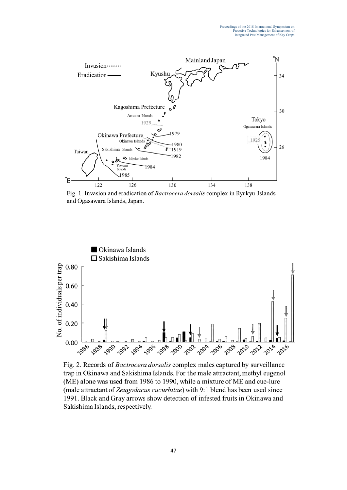

Fig. 1. Invasion and eradication of Bactrocera dorsalis complex in Ryukyu Islands and Ogasawara Islands, Japan.



Fig. 2. Records of Bactrocera dorsalis complex males captured by surveillance trap in Okinawa and Sakishima Islands. For the male attractant, methyl eugenol (ME) alone was used from 1986 to 1990, while a mixture of ME and cue-lure (male attractant of Zeugodacus cucurbitae) with 9:1 blend has been used since 1991. Black and Gray arrows show detection of infested fruits in Okinawa and Sakishima Islands, respectively.